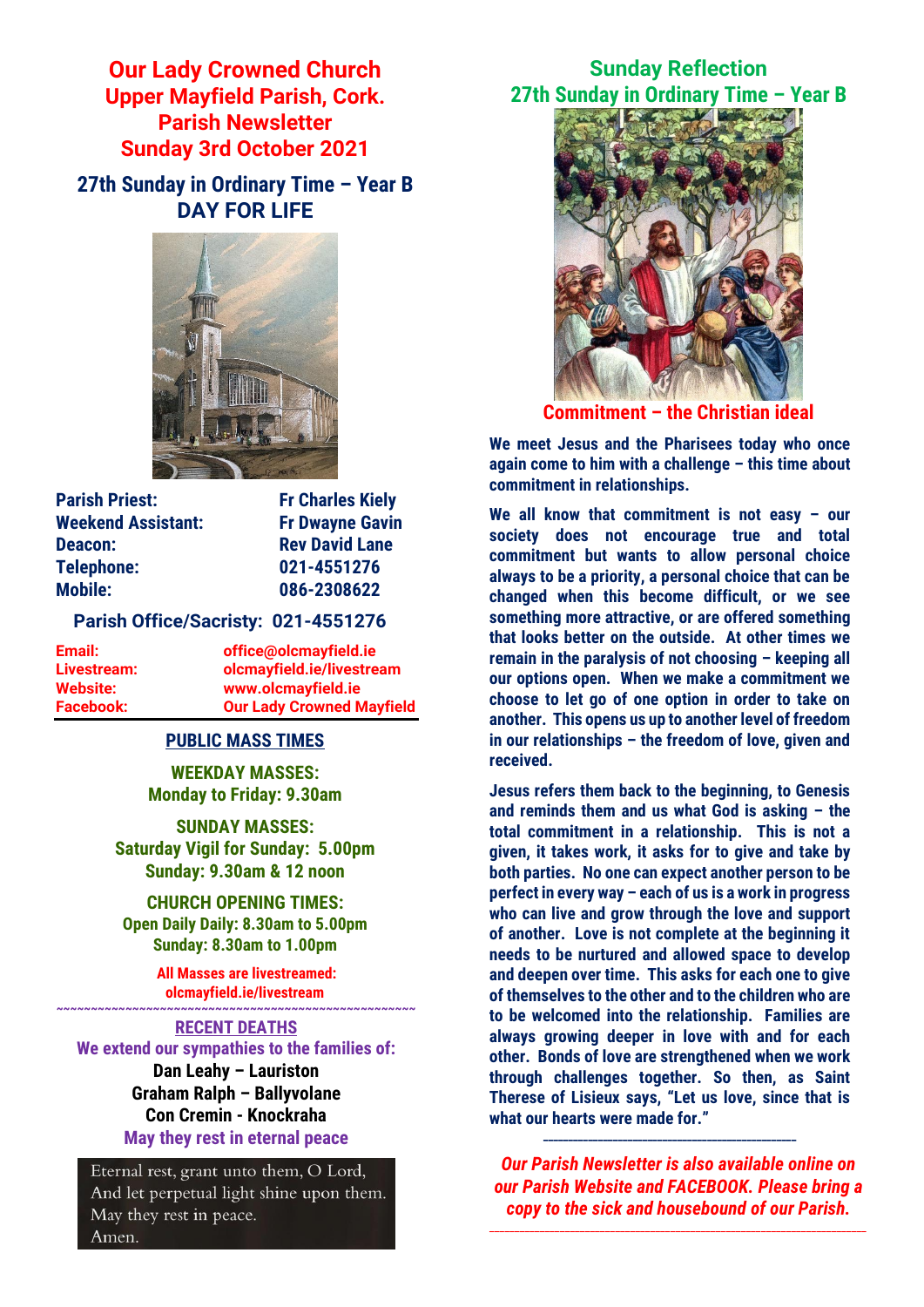**Our Lady Crowned Church Upper Mayfield Parish, Cork. Parish Newsletter Sunday 3rd October 2021**

**27th Sunday in Ordinary Time – Year B DAY FOR LIFE**



**Parish Priest:** Fr Charles Kiely **Weekend Assistant: Fr Dwayne Gavin Deacon:** Rev David Lane **Telephone: 021-4551276 Mobile: 086-2308622** 

### **Parish Office/Sacristy: 021-4551276**

**Email: office@olcmayfield.ie Livestream: olcmayfield.ie/livestream Website: www.olcmayfield.ie Facebook: Our Lady Crowned Mayfield**

### **PUBLIC MASS TIMES**

**WEEKDAY MASSES: Monday to Friday: 9.30am**

**SUNDAY MASSES: Saturday Vigil for Sunday: 5.00pm Sunday: 9.30am & 12 noon**

**CHURCH OPENING TIMES: Open Daily Daily: 8.30am to 5.00pm Sunday: 8.30am to 1.00pm** 

> **All Masses are livestreamed: olcmayfield.ie/livestream ~~~~~~~~~~~~~~~~~~~~~~~~~~~~~~~~~~~~~~~~~~~~~~~~~~~~**

#### **RECENT DEATHS**

**We extend our sympathies to the families of: Dan Leahy – Lauriston Graham Ralph – Ballyvolane Con Cremin - Knockraha May they rest in eternal peace**

Eternal rest, grant unto them, O Lord, And let perpetual light shine upon them. May they rest in peace. Amen.

**Sunday Reflection 27th Sunday in Ordinary Time – Year B**



**Commitment – the Christian ideal**

**We meet Jesus and the Pharisees today who once again come to him with a challenge – this time about commitment in relationships.** 

**We all know that commitment is not easy – our society does not encourage true and total commitment but wants to allow personal choice always to be a priority, a personal choice that can be changed when this become difficult, or we see something more attractive, or are offered something that looks better on the outside. At other times we remain in the paralysis of not choosing – keeping all our options open. When we make a commitment we choose to let go of one option in order to take on another. This opens us up to another level of freedom in our relationships – the freedom of love, given and received.**

**Jesus refers them back to the beginning, to Genesis and reminds them and us what God is asking – the total commitment in a relationship. This is not a given, it takes work, it asks for to give and take by both parties. No one can expect another person to be perfect in every way – each of us is a work in progress who can live and grow through the love and support of another. Love is not complete at the beginning it needs to be nurtured and allowed space to develop and deepen over time. This asks for each one to give of themselves to the other and to the children who are to be welcomed into the relationship. Families are always growing deeper in love with and for each other. Bonds of love are strengthened when we work through challenges together. So then, as Saint Therese of Lisieux says, "Let us love, since that is what our hearts were made for."**

*Our Parish Newsletter is also available online on our Parish Website and FACEBOOK. Please bring a copy to the sick and housebound of our Parish.*

\_\_\_\_\_\_\_\_\_\_\_\_\_\_\_\_\_\_\_\_\_\_\_\_\_\_\_\_\_\_\_\_\_\_\_\_\_\_\_\_\_\_\_\_\_\_\_\_\_\_\_\_\_\_\_\_\_\_\_\_\_\_\_\_\_\_\_\_\_\_\_\_\_\_\_

**\_\_\_\_\_\_\_\_\_\_\_\_\_\_\_\_\_\_\_\_\_\_\_\_\_\_\_\_\_\_\_\_\_\_\_\_\_\_\_\_\_\_\_\_\_\_\_\_\_\_\_**